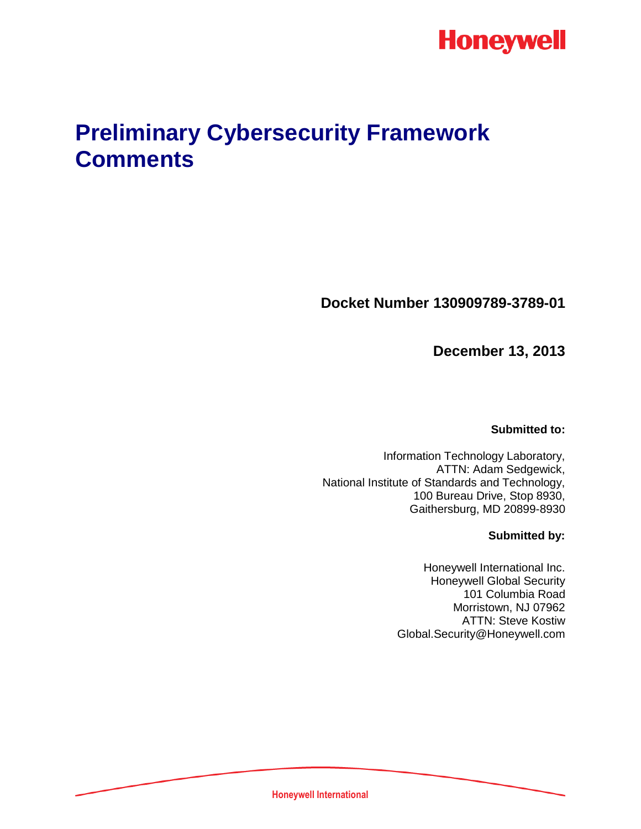

# **Preliminary Cybersecurity Framework Comments**

**Docket Number 130909789-3789-01**

**December 13, 2013**

**Submitted to:**

Information Technology Laboratory, ATTN: Adam Sedgewick, National Institute of Standards and Technology, 100 Bureau Drive, Stop 8930, Gaithersburg, MD 20899-8930

### **Submitted by:**

Honeywell International Inc. Honeywell Global Security 101 Columbia Road Morristown, NJ 07962 ATTN: Steve Kostiw Global.Security@Honeywell.com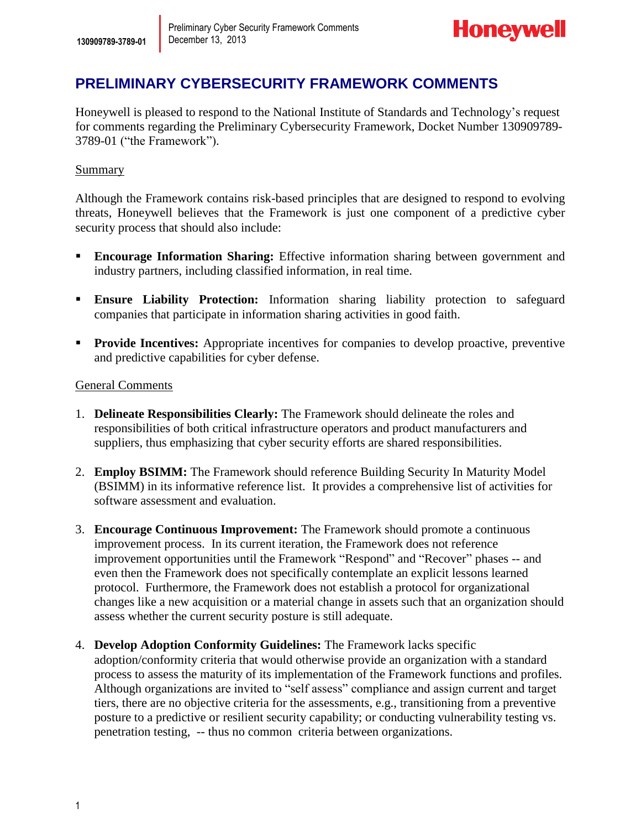

## **PRELIMINARY CYBERSECURITY FRAMEWORK COMMENTS**

Honeywell is pleased to respond to the National Institute of Standards and Technology's request for comments regarding the Preliminary Cybersecurity Framework, Docket Number 130909789- 3789-01 ("the Framework").

## Summary

Although the Framework contains risk-based principles that are designed to respond to evolving threats, Honeywell believes that the Framework is just one component of a predictive cyber security process that should also include:

- **Encourage Information Sharing:** Effective information sharing between government and industry partners, including classified information, in real time.
- **Ensure Liability Protection:** Information sharing liability protection to safeguard companies that participate in information sharing activities in good faith.
- **Provide Incentives:** Appropriate incentives for companies to develop proactive, preventive and predictive capabilities for cyber defense.

### General Comments

- 1. **Delineate Responsibilities Clearly:** The Framework should delineate the roles and responsibilities of both critical infrastructure operators and product manufacturers and suppliers, thus emphasizing that cyber security efforts are shared responsibilities.
- 2. **Employ BSIMM:** The Framework should reference Building Security In Maturity Model (BSIMM) in its informative reference list. It provides a comprehensive list of activities for software assessment and evaluation.
- 3. **Encourage Continuous Improvement:** The Framework should promote a continuous improvement process. In its current iteration, the Framework does not reference improvement opportunities until the Framework "Respond" and "Recover" phases -- and even then the Framework does not specifically contemplate an explicit lessons learned protocol. Furthermore, the Framework does not establish a protocol for organizational changes like a new acquisition or a material change in assets such that an organization should assess whether the current security posture is still adequate.
- 4. **Develop Adoption Conformity Guidelines:** The Framework lacks specific adoption/conformity criteria that would otherwise provide an organization with a standard process to assess the maturity of its implementation of the Framework functions and profiles. Although organizations are invited to "self assess" compliance and assign current and target tiers, there are no objective criteria for the assessments, e.g., transitioning from a preventive posture to a predictive or resilient security capability; or conducting vulnerability testing vs. penetration testing, -- thus no common criteria between organizations.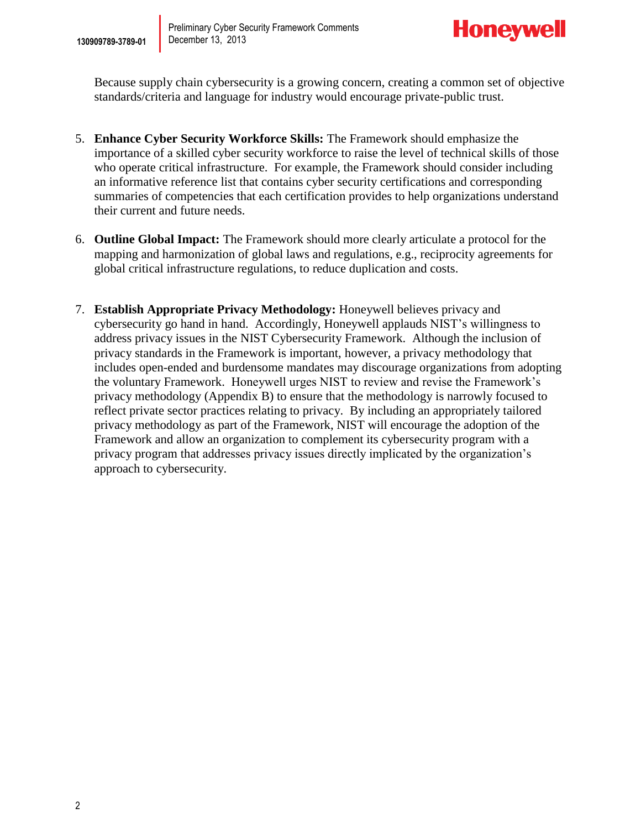

Because supply chain cybersecurity is a growing concern, creating a common set of objective standards/criteria and language for industry would encourage private-public trust.

- 5. **Enhance Cyber Security Workforce Skills:** The Framework should emphasize the importance of a skilled cyber security workforce to raise the level of technical skills of those who operate critical infrastructure. For example, the Framework should consider including an informative reference list that contains cyber security certifications and corresponding summaries of competencies that each certification provides to help organizations understand their current and future needs.
- 6. **Outline Global Impact:** The Framework should more clearly articulate a protocol for the mapping and harmonization of global laws and regulations, e.g., reciprocity agreements for global critical infrastructure regulations, to reduce duplication and costs.
- 7. **Establish Appropriate Privacy Methodology:** Honeywell believes privacy and cybersecurity go hand in hand. Accordingly, Honeywell applauds NIST's willingness to address privacy issues in the NIST Cybersecurity Framework. Although the inclusion of privacy standards in the Framework is important, however, a privacy methodology that includes open-ended and burdensome mandates may discourage organizations from adopting the voluntary Framework. Honeywell urges NIST to review and revise the Framework's privacy methodology (Appendix B) to ensure that the methodology is narrowly focused to reflect private sector practices relating to privacy. By including an appropriately tailored privacy methodology as part of the Framework, NIST will encourage the adoption of the Framework and allow an organization to complement its cybersecurity program with a privacy program that addresses privacy issues directly implicated by the organization's approach to cybersecurity.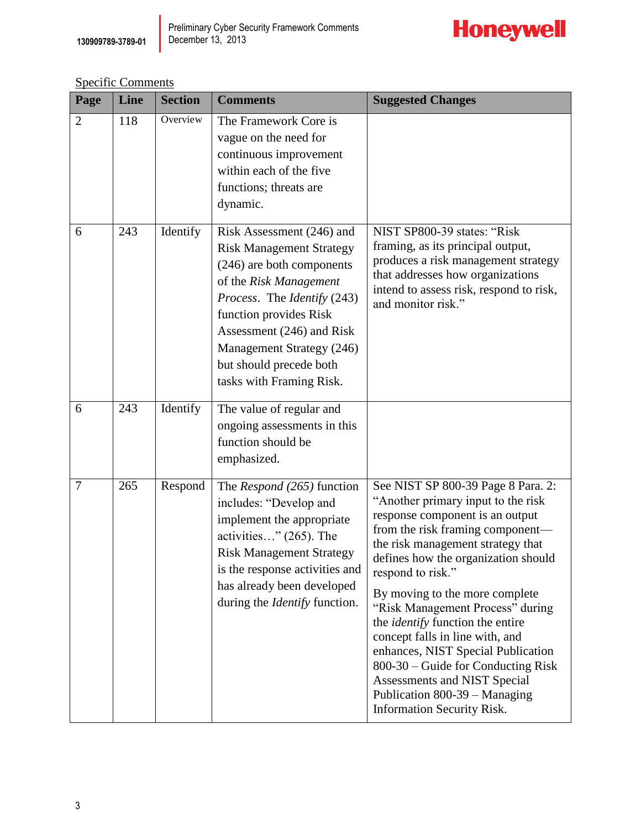

Specific Comments

| Page           | Line | <b>Section</b> | <b>Comments</b>                                                                                                                                                                                                                                                                               | <b>Suggested Changes</b>                                                                                                                                                                                                                                                                                                                                                                                                                                                                                                                                                               |
|----------------|------|----------------|-----------------------------------------------------------------------------------------------------------------------------------------------------------------------------------------------------------------------------------------------------------------------------------------------|----------------------------------------------------------------------------------------------------------------------------------------------------------------------------------------------------------------------------------------------------------------------------------------------------------------------------------------------------------------------------------------------------------------------------------------------------------------------------------------------------------------------------------------------------------------------------------------|
| $\overline{2}$ | 118  | Overview       | The Framework Core is<br>vague on the need for<br>continuous improvement<br>within each of the five<br>functions; threats are<br>dynamic.                                                                                                                                                     |                                                                                                                                                                                                                                                                                                                                                                                                                                                                                                                                                                                        |
| 6              | 243  | Identify       | Risk Assessment (246) and<br><b>Risk Management Strategy</b><br>(246) are both components<br>of the Risk Management<br>Process. The Identify (243)<br>function provides Risk<br>Assessment (246) and Risk<br>Management Strategy (246)<br>but should precede both<br>tasks with Framing Risk. | NIST SP800-39 states: "Risk<br>framing, as its principal output,<br>produces a risk management strategy<br>that addresses how organizations<br>intend to assess risk, respond to risk,<br>and monitor risk."                                                                                                                                                                                                                                                                                                                                                                           |
| 6              | 243  | Identify       | The value of regular and<br>ongoing assessments in this<br>function should be<br>emphasized.                                                                                                                                                                                                  |                                                                                                                                                                                                                                                                                                                                                                                                                                                                                                                                                                                        |
| $\overline{7}$ | 265  | Respond        | The Respond (265) function<br>includes: "Develop and<br>implement the appropriate<br>activities" (265). The<br><b>Risk Management Strategy</b><br>is the response activities and<br>has already been developed<br>during the <i>Identify</i> function.                                        | See NIST SP 800-39 Page 8 Para. 2:<br>"Another primary input to the risk<br>response component is an output<br>from the risk framing component—<br>the risk management strategy that<br>defines how the organization should<br>respond to risk."<br>By moving to the more complete<br>"Risk Management Process" during<br>the <i>identify</i> function the entire<br>concept falls in line with, and<br>enhances, NIST Special Publication<br>800-30 – Guide for Conducting Risk<br>Assessments and NIST Special<br>Publication 800-39 - Managing<br><b>Information Security Risk.</b> |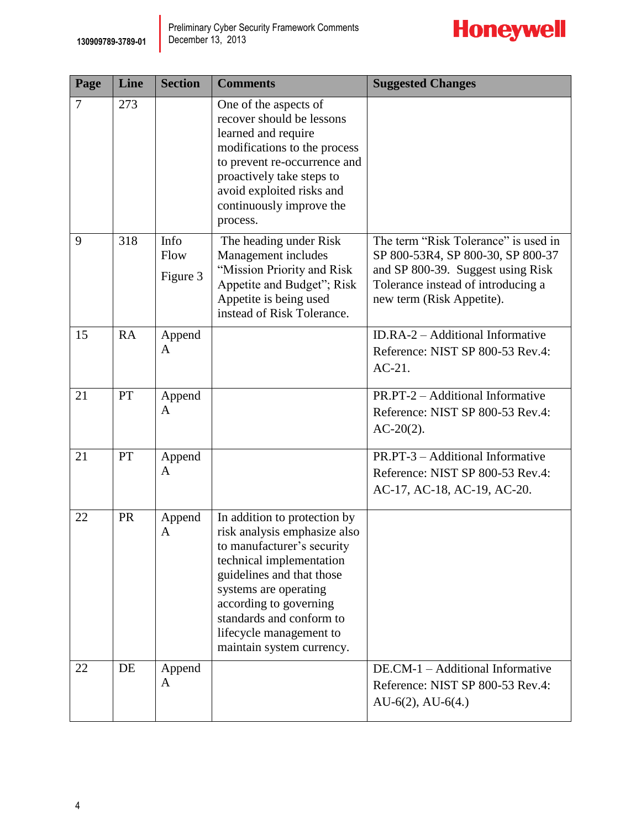

| Page           | Line      | <b>Section</b>           | <b>Comments</b>                                                                                                                                                                                                                                                                            | <b>Suggested Changes</b>                                                                                                                                                          |
|----------------|-----------|--------------------------|--------------------------------------------------------------------------------------------------------------------------------------------------------------------------------------------------------------------------------------------------------------------------------------------|-----------------------------------------------------------------------------------------------------------------------------------------------------------------------------------|
| $\overline{7}$ | 273       |                          | One of the aspects of<br>recover should be lessons<br>learned and require<br>modifications to the process<br>to prevent re-occurrence and<br>proactively take steps to<br>avoid exploited risks and<br>continuously improve the<br>process.                                                |                                                                                                                                                                                   |
| 9              | 318       | Info<br>Flow<br>Figure 3 | The heading under Risk<br>Management includes<br>"Mission Priority and Risk<br>Appetite and Budget"; Risk<br>Appetite is being used<br>instead of Risk Tolerance.                                                                                                                          | The term "Risk Tolerance" is used in<br>SP 800-53R4, SP 800-30, SP 800-37<br>and SP 800-39. Suggest using Risk<br>Tolerance instead of introducing a<br>new term (Risk Appetite). |
| 15             | <b>RA</b> | Append<br>A              |                                                                                                                                                                                                                                                                                            | ID.RA-2 – Additional Informative<br>Reference: NIST SP 800-53 Rev.4:<br>$AC-21$ .                                                                                                 |
| 21             | PT        | Append<br>A              |                                                                                                                                                                                                                                                                                            | PR.PT-2 - Additional Informative<br>Reference: NIST SP 800-53 Rev.4:<br>$AC-20(2)$ .                                                                                              |
| 21             | PT        | Append<br>A              |                                                                                                                                                                                                                                                                                            | PR.PT-3 - Additional Informative<br>Reference: NIST SP 800-53 Rev.4:<br>AC-17, AC-18, AC-19, AC-20.                                                                               |
| 22             | <b>PR</b> | Append<br>A              | In addition to protection by<br>risk analysis emphasize also<br>to manufacturer's security<br>technical implementation<br>guidelines and that those<br>systems are operating<br>according to governing<br>standards and conform to<br>lifecycle management to<br>maintain system currency. |                                                                                                                                                                                   |
| 22             | DE        | Append<br>A              |                                                                                                                                                                                                                                                                                            | DE.CM-1 - Additional Informative<br>Reference: NIST SP 800-53 Rev.4:<br>$AU-6(2)$ , $AU-6(4)$                                                                                     |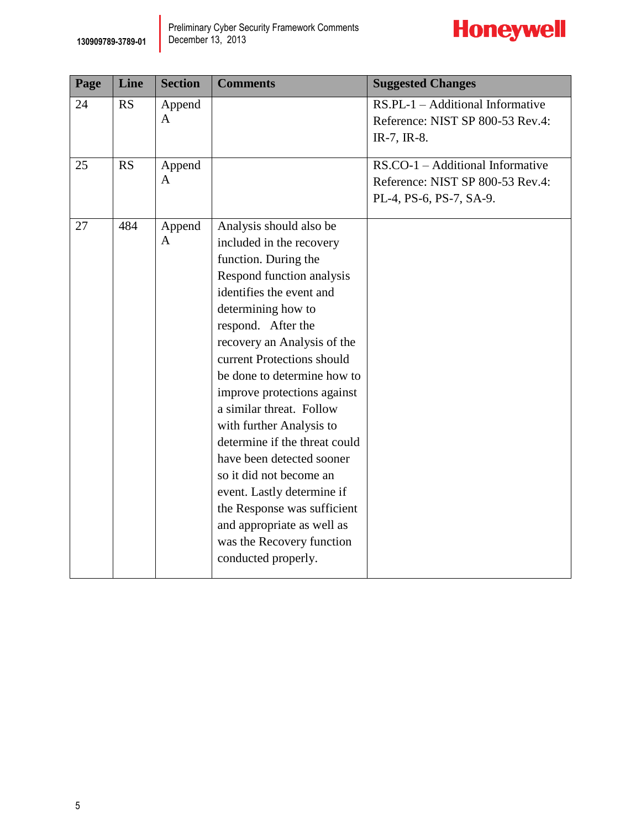

| Page | Line      | <b>Section</b>         | <b>Comments</b>                                                                                                                                                                                                                                                                                                                                                                                                                                                                                                                                                                                             | <b>Suggested Changes</b>                                                                           |
|------|-----------|------------------------|-------------------------------------------------------------------------------------------------------------------------------------------------------------------------------------------------------------------------------------------------------------------------------------------------------------------------------------------------------------------------------------------------------------------------------------------------------------------------------------------------------------------------------------------------------------------------------------------------------------|----------------------------------------------------------------------------------------------------|
| 24   | <b>RS</b> | Append<br>$\mathbf{A}$ |                                                                                                                                                                                                                                                                                                                                                                                                                                                                                                                                                                                                             | $RS.PL-1 - Additional Informative$<br>Reference: NIST SP 800-53 Rev.4:<br>IR-7, IR-8.              |
| 25   | RS        | Append<br>A            |                                                                                                                                                                                                                                                                                                                                                                                                                                                                                                                                                                                                             | $RS. CO-1 - Additional Informative$<br>Reference: NIST SP 800-53 Rev.4:<br>PL-4, PS-6, PS-7, SA-9. |
| 27   | 484       | Append<br>A            | Analysis should also be<br>included in the recovery<br>function. During the<br>Respond function analysis<br>identifies the event and<br>determining how to<br>respond. After the<br>recovery an Analysis of the<br>current Protections should<br>be done to determine how to<br>improve protections against<br>a similar threat. Follow<br>with further Analysis to<br>determine if the threat could<br>have been detected sooner<br>so it did not become an<br>event. Lastly determine if<br>the Response was sufficient<br>and appropriate as well as<br>was the Recovery function<br>conducted properly. |                                                                                                    |